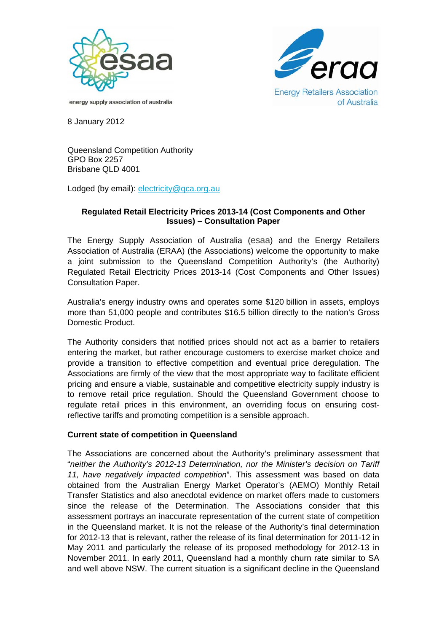



energy supply association of australia

8 January 2012

Queensland Competition Authority GPO Box 2257 Brisbane QLD 4001

Lodged (by email): electricity@qca.org.au

## **Regulated Retail Electricity Prices 2013-14 (Cost Components and Other Issues) – Consultation Paper**

The Energy Supply Association of Australia (esaa) and the Energy Retailers Association of Australia (ERAA) (the Associations) welcome the opportunity to make a joint submission to the Queensland Competition Authority's (the Authority) Regulated Retail Electricity Prices 2013-14 (Cost Components and Other Issues) Consultation Paper.

Australia's energy industry owns and operates some \$120 billion in assets, employs more than 51,000 people and contributes \$16.5 billion directly to the nation's Gross Domestic Product.

The Authority considers that notified prices should not act as a barrier to retailers entering the market, but rather encourage customers to exercise market choice and provide a transition to effective competition and eventual price deregulation. The Associations are firmly of the view that the most appropriate way to facilitate efficient pricing and ensure a viable, sustainable and competitive electricity supply industry is to remove retail price regulation. Should the Queensland Government choose to regulate retail prices in this environment, an overriding focus on ensuring costreflective tariffs and promoting competition is a sensible approach.

## **Current state of competition in Queensland**

The Associations are concerned about the Authority's preliminary assessment that "*neither the Authority's 2012-13 Determination, nor the Minister's decision on Tariff 11, have negatively impacted competition*". This assessment was based on data obtained from the Australian Energy Market Operator's (AEMO) Monthly Retail Transfer Statistics and also anecdotal evidence on market offers made to customers since the release of the Determination. The Associations consider that this assessment portrays an inaccurate representation of the current state of competition in the Queensland market. It is not the release of the Authority's final determination for 2012-13 that is relevant, rather the release of its final determination for 2011-12 in May 2011 and particularly the release of its proposed methodology for 2012-13 in November 2011. In early 2011, Queensland had a monthly churn rate similar to SA and well above NSW. The current situation is a significant decline in the Queensland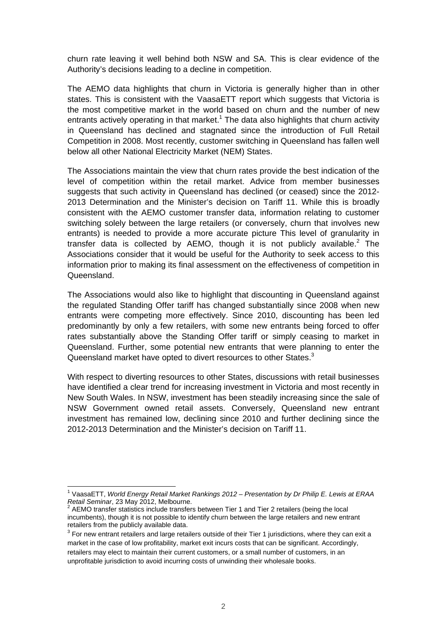churn rate leaving it well behind both NSW and SA. This is clear evidence of the Authority's decisions leading to a decline in competition.

The AEMO data highlights that churn in Victoria is generally higher than in other states. This is consistent with the VaasaETT report which suggests that Victoria is the most competitive market in the world based on churn and the number of new entrants actively operating in that market.<sup>1</sup> The data also highlights that churn activity in Queensland has declined and stagnated since the introduction of Full Retail Competition in 2008. Most recently, customer switching in Queensland has fallen well below all other National Electricity Market (NEM) States.

The Associations maintain the view that churn rates provide the best indication of the level of competition within the retail market. Advice from member businesses suggests that such activity in Queensland has declined (or ceased) since the 2012- 2013 Determination and the Minister's decision on Tariff 11. While this is broadly consistent with the AEMO customer transfer data, information relating to customer switching solely between the large retailers (or conversely, churn that involves new entrants) is needed to provide a more accurate picture This level of granularity in transfer data is collected by AEMO, though it is not publicly available. $^2$  The Associations consider that it would be useful for the Authority to seek access to this information prior to making its final assessment on the effectiveness of competition in Queensland.

The Associations would also like to highlight that discounting in Queensland against the regulated Standing Offer tariff has changed substantially since 2008 when new entrants were competing more effectively. Since 2010, discounting has been led predominantly by only a few retailers, with some new entrants being forced to offer rates substantially above the Standing Offer tariff or simply ceasing to market in Queensland. Further, some potential new entrants that were planning to enter the Queensland market have opted to divert resources to other States.<sup>3</sup>

With respect to diverting resources to other States, discussions with retail businesses have identified a clear trend for increasing investment in Victoria and most recently in New South Wales. In NSW, investment has been steadily increasing since the sale of NSW Government owned retail assets. Conversely, Queensland new entrant investment has remained low, declining since 2010 and further declining since the 2012-2013 Determination and the Minister's decision on Tariff 11.

 1 VaasaETT, *World Energy Retail Market Rankings 2012 – Presentation by Dr Philip E. Lewis at ERAA Retail Seminar*, 23 May 2012, Melbourne. 2

AEMO transfer statistics include transfers between Tier 1 and Tier 2 retailers (being the local incumbents), though it is not possible to identify churn between the large retailers and new entrant retailers from the publicly available data.

 $3$  For new entrant retailers and large retailers outside of their Tier 1 jurisdictions, where they can exit a market in the case of low profitability, market exit incurs costs that can be significant. Accordingly, retailers may elect to maintain their current customers, or a small number of customers, in an unprofitable jurisdiction to avoid incurring costs of unwinding their wholesale books.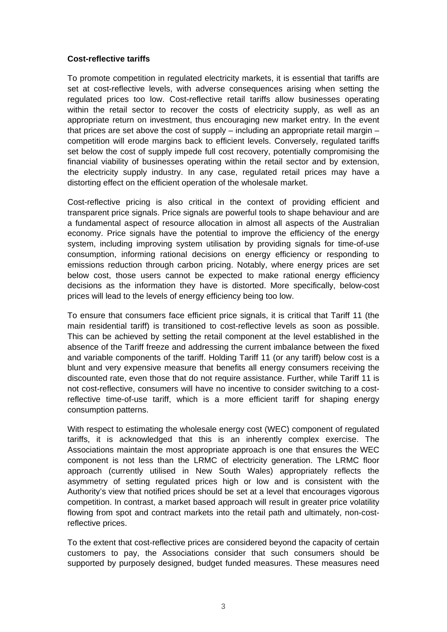## **Cost-reflective tariffs**

To promote competition in regulated electricity markets, it is essential that tariffs are set at cost-reflective levels, with adverse consequences arising when setting the regulated prices too low. Cost-reflective retail tariffs allow businesses operating within the retail sector to recover the costs of electricity supply, as well as an appropriate return on investment, thus encouraging new market entry. In the event that prices are set above the cost of supply  $-$  including an appropriate retail margin  $$ competition will erode margins back to efficient levels. Conversely, regulated tariffs set below the cost of supply impede full cost recovery, potentially compromising the financial viability of businesses operating within the retail sector and by extension, the electricity supply industry. In any case, regulated retail prices may have a distorting effect on the efficient operation of the wholesale market.

Cost-reflective pricing is also critical in the context of providing efficient and transparent price signals. Price signals are powerful tools to shape behaviour and are a fundamental aspect of resource allocation in almost all aspects of the Australian economy. Price signals have the potential to improve the efficiency of the energy system, including improving system utilisation by providing signals for time-of-use consumption, informing rational decisions on energy efficiency or responding to emissions reduction through carbon pricing. Notably, where energy prices are set below cost, those users cannot be expected to make rational energy efficiency decisions as the information they have is distorted. More specifically, below-cost prices will lead to the levels of energy efficiency being too low.

To ensure that consumers face efficient price signals, it is critical that Tariff 11 (the main residential tariff) is transitioned to cost-reflective levels as soon as possible. This can be achieved by setting the retail component at the level established in the absence of the Tariff freeze and addressing the current imbalance between the fixed and variable components of the tariff. Holding Tariff 11 (or any tariff) below cost is a blunt and very expensive measure that benefits all energy consumers receiving the discounted rate, even those that do not require assistance. Further, while Tariff 11 is not cost-reflective, consumers will have no incentive to consider switching to a costreflective time-of-use tariff, which is a more efficient tariff for shaping energy consumption patterns.

With respect to estimating the wholesale energy cost (WEC) component of regulated tariffs, it is acknowledged that this is an inherently complex exercise. The Associations maintain the most appropriate approach is one that ensures the WEC component is not less than the LRMC of electricity generation. The LRMC floor approach (currently utilised in New South Wales) appropriately reflects the asymmetry of setting regulated prices high or low and is consistent with the Authority's view that notified prices should be set at a level that encourages vigorous competition. In contrast, a market based approach will result in greater price volatility flowing from spot and contract markets into the retail path and ultimately, non-costreflective prices.

To the extent that cost-reflective prices are considered beyond the capacity of certain customers to pay, the Associations consider that such consumers should be supported by purposely designed, budget funded measures. These measures need